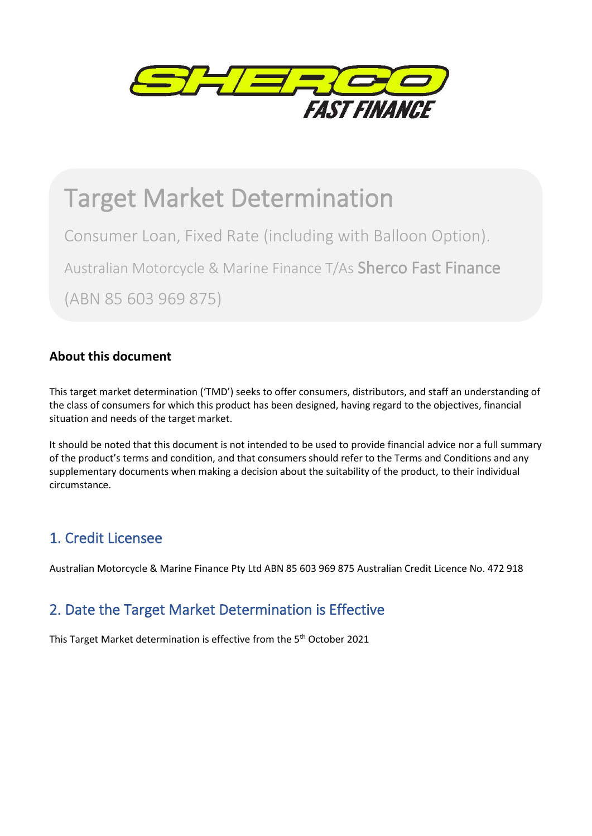

# Target Market Determination

Consumer Loan, Fixed Rate (including with Balloon Option).

Australian Motorcycle & Marine Finance T/As Sherco Fast Finance

(ABN 85 603 969 875)

### **About this document**

This target market determination ('TMD') seeks to offer consumers, distributors, and staff an understanding of the class of consumers for which this product has been designed, having regard to the objectives, financial situation and needs of the target market.

It should be noted that this document is not intended to be used to provide financial advice nor a full summary of the product's terms and condition, and that consumers should refer to the Terms and Conditions and any supplementary documents when making a decision about the suitability of the product, to their individual circumstance.

### 1. Credit Licensee

Australian Motorcycle & Marine Finance Pty Ltd ABN 85 603 969 875 Australian Credit Licence No. 472 918

### 2. Date the Target Market Determination is Effective

This Target Market determination is effective from the 5<sup>th</sup> October 2021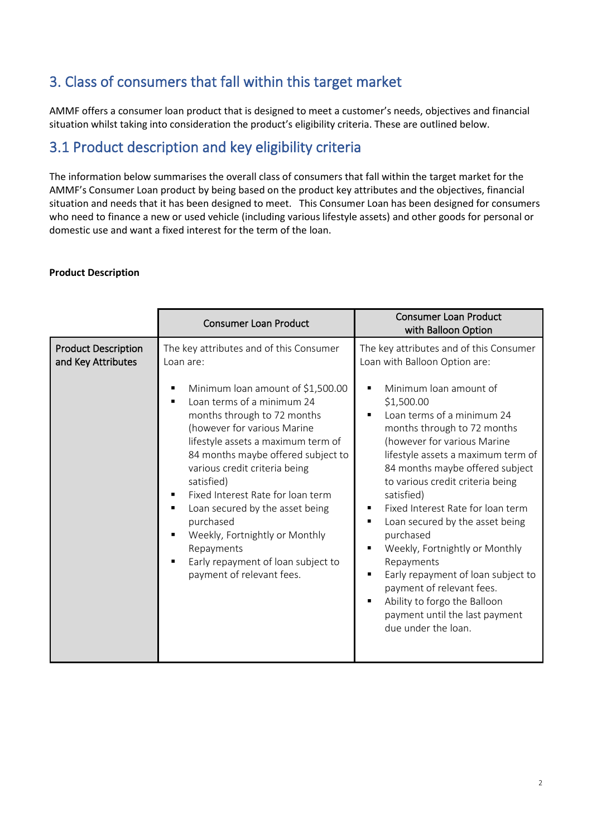### 3. Class of consumers that fall within this target market

AMMF offers a consumer loan product that is designed to meet a customer's needs, objectives and financial situation whilst taking into consideration the product's eligibility criteria. These are outlined below.

### 3.1 Product description and key eligibility criteria

The information below summarises the overall class of consumers that fall within the target market for the AMMF's Consumer Loan product by being based on the product key attributes and the objectives, financial situation and needs that it has been designed to meet. This Consumer Loan has been designed for consumers who need to finance a new or used vehicle (including various lifestyle assets) and other goods for personal or domestic use and want a fixed interest for the term of the loan.

#### **Product Description**

|                                                  | <b>Consumer Loan Product</b>                                                                                                                                                                                                                                                                                                                                                                                                                                                                                             | <b>Consumer Loan Product</b><br>with Balloon Option                                                                                                                                                                                                                                                                                                                                                                                                                                                                                                                                                                                                                                                                             |
|--------------------------------------------------|--------------------------------------------------------------------------------------------------------------------------------------------------------------------------------------------------------------------------------------------------------------------------------------------------------------------------------------------------------------------------------------------------------------------------------------------------------------------------------------------------------------------------|---------------------------------------------------------------------------------------------------------------------------------------------------------------------------------------------------------------------------------------------------------------------------------------------------------------------------------------------------------------------------------------------------------------------------------------------------------------------------------------------------------------------------------------------------------------------------------------------------------------------------------------------------------------------------------------------------------------------------------|
| <b>Product Description</b><br>and Key Attributes | The key attributes and of this Consumer<br>Loan are:<br>Minimum loan amount of \$1,500.00<br>Loan terms of a minimum 24<br>months through to 72 months<br>(however for various Marine<br>lifestyle assets a maximum term of<br>84 months maybe offered subject to<br>various credit criteria being<br>satisfied)<br>Fixed Interest Rate for loan term<br>Loan secured by the asset being<br>purchased<br>Weekly, Fortnightly or Monthly<br>Repayments<br>Early repayment of loan subject to<br>payment of relevant fees. | The key attributes and of this Consumer<br>Loan with Balloon Option are:<br>Minimum loan amount of<br>٠<br>\$1,500.00<br>Loan terms of a minimum 24<br>$\blacksquare$<br>months through to 72 months<br>(however for various Marine<br>lifestyle assets a maximum term of<br>84 months maybe offered subject<br>to various credit criteria being<br>satisfied)<br>Fixed Interest Rate for loan term<br>п<br>Loan secured by the asset being<br>$\blacksquare$<br>purchased<br>Weekly, Fortnightly or Monthly<br>٠<br>Repayments<br>Early repayment of loan subject to<br>$\blacksquare$<br>payment of relevant fees.<br>Ability to forgo the Balloon<br>$\blacksquare$<br>payment until the last payment<br>due under the loan. |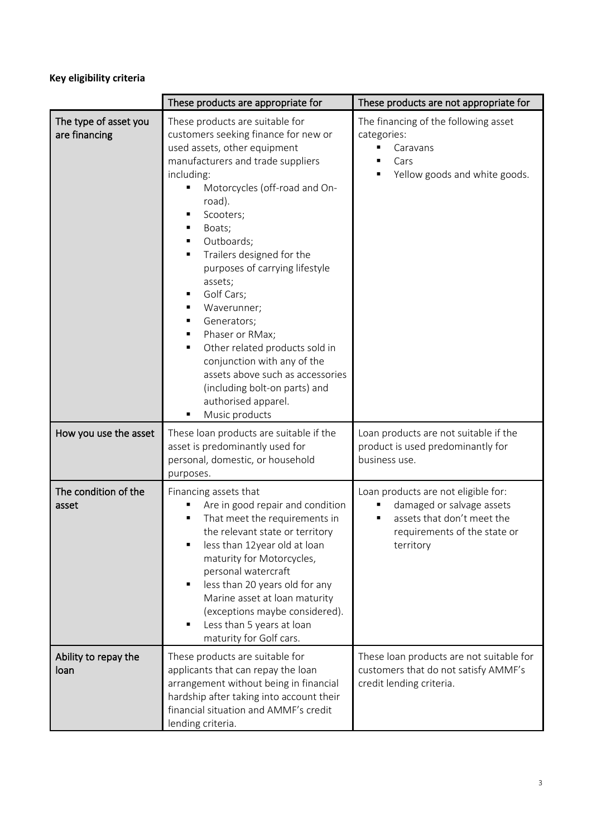### **Key eligibility criteria**

|                                        | These products are appropriate for                                                                                                                                                                                                                                                                                                                                                                                                                                                                                                                                                                                           | These products are not appropriate for                                                                                                      |
|----------------------------------------|------------------------------------------------------------------------------------------------------------------------------------------------------------------------------------------------------------------------------------------------------------------------------------------------------------------------------------------------------------------------------------------------------------------------------------------------------------------------------------------------------------------------------------------------------------------------------------------------------------------------------|---------------------------------------------------------------------------------------------------------------------------------------------|
| The type of asset you<br>are financing | These products are suitable for<br>customers seeking finance for new or<br>used assets, other equipment<br>manufacturers and trade suppliers<br>including:<br>Motorcycles (off-road and On-<br>road).<br>Scooters;<br>Boats;<br>٠<br>Outboards;<br>٠<br>Trailers designed for the<br>٠<br>purposes of carrying lifestyle<br>assets;<br>Golf Cars;<br>٠<br>Waverunner;<br>٠<br>Generators;<br>п<br>Phaser or RMax;<br>$\blacksquare$<br>Other related products sold in<br>٠<br>conjunction with any of the<br>assets above such as accessories<br>(including bolt-on parts) and<br>authorised apparel.<br>Music products<br>٠ | The financing of the following asset<br>categories:<br>Caravans<br>Cars<br>Yellow goods and white goods.                                    |
| How you use the asset                  | These loan products are suitable if the<br>asset is predominantly used for<br>personal, domestic, or household<br>purposes.                                                                                                                                                                                                                                                                                                                                                                                                                                                                                                  | Loan products are not suitable if the<br>product is used predominantly for<br>business use.                                                 |
| The condition of the<br>asset          | Financing assets that<br>Are in good repair and condition<br>That meet the requirements in<br>the relevant state or territory<br>less than 12year old at loan<br>$\blacksquare$<br>maturity for Motorcycles,<br>personal watercraft<br>less than 20 years old for any<br>$\blacksquare$<br>Marine asset at loan maturity<br>(exceptions maybe considered).<br>Less than 5 years at loan<br>٠<br>maturity for Golf cars.                                                                                                                                                                                                      | Loan products are not eligible for:<br>damaged or salvage assets<br>assets that don't meet the<br>requirements of the state or<br>territory |
| Ability to repay the<br>loan           | These products are suitable for<br>applicants that can repay the loan<br>arrangement without being in financial<br>hardship after taking into account their<br>financial situation and AMMF's credit<br>lending criteria.                                                                                                                                                                                                                                                                                                                                                                                                    | These loan products are not suitable for<br>customers that do not satisfy AMMF's<br>credit lending criteria.                                |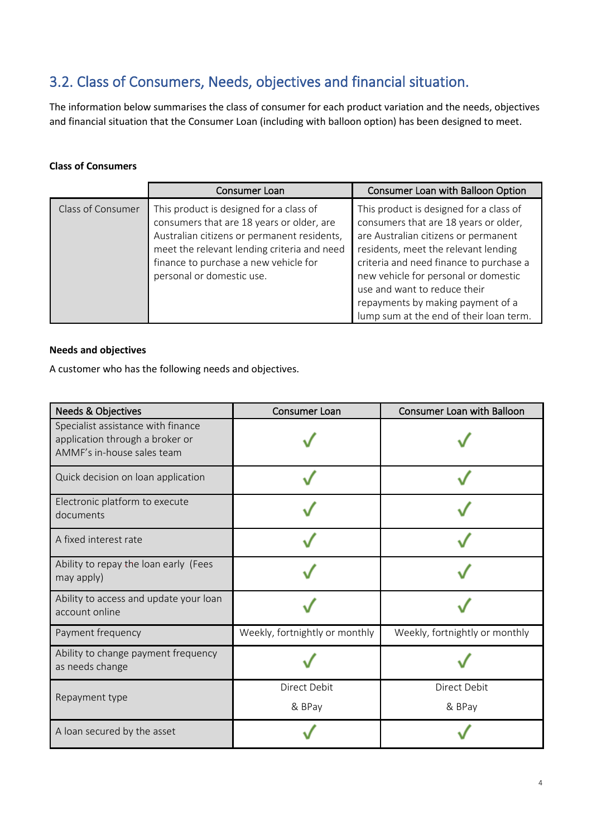### 3.2. Class of Consumers, Needs, objectives and financial situation.

The information below summarises the class of consumer for each product variation and the needs, objectives and financial situation that the Consumer Loan (including with balloon option) has been designed to meet.

#### **Class of Consumers**

|                   | Consumer Loan                                                                                                                                                                                                                                            | Consumer Loan with Balloon Option                                                                                                                                                                                                                                                                                                                                   |
|-------------------|----------------------------------------------------------------------------------------------------------------------------------------------------------------------------------------------------------------------------------------------------------|---------------------------------------------------------------------------------------------------------------------------------------------------------------------------------------------------------------------------------------------------------------------------------------------------------------------------------------------------------------------|
| Class of Consumer | This product is designed for a class of<br>consumers that are 18 years or older, are<br>Australian citizens or permanent residents,<br>meet the relevant lending criteria and need<br>finance to purchase a new vehicle for<br>personal or domestic use. | This product is designed for a class of<br>consumers that are 18 years or older,<br>are Australian citizens or permanent<br>residents, meet the relevant lending<br>criteria and need finance to purchase a<br>new vehicle for personal or domestic<br>use and want to reduce their<br>repayments by making payment of a<br>lump sum at the end of their loan term. |

#### **Needs and objectives**

A customer who has the following needs and objectives.

| <b>Needs &amp; Objectives</b>                                                                       | Consumer Loan                  | Consumer Loan with Balloon     |
|-----------------------------------------------------------------------------------------------------|--------------------------------|--------------------------------|
| Specialist assistance with finance<br>application through a broker or<br>AMMF's in-house sales team |                                |                                |
| Quick decision on loan application                                                                  |                                |                                |
| Electronic platform to execute<br>documents                                                         |                                |                                |
| A fixed interest rate                                                                               |                                |                                |
| Ability to repay the loan early (Fees<br>may apply)                                                 |                                |                                |
| Ability to access and update your loan<br>account online                                            |                                |                                |
| Payment frequency                                                                                   | Weekly, fortnightly or monthly | Weekly, fortnightly or monthly |
| Ability to change payment frequency<br>as needs change                                              |                                |                                |
| Repayment type                                                                                      | Direct Debit<br>& BPay         | Direct Debit<br>& BPay         |
| A loan secured by the asset                                                                         |                                |                                |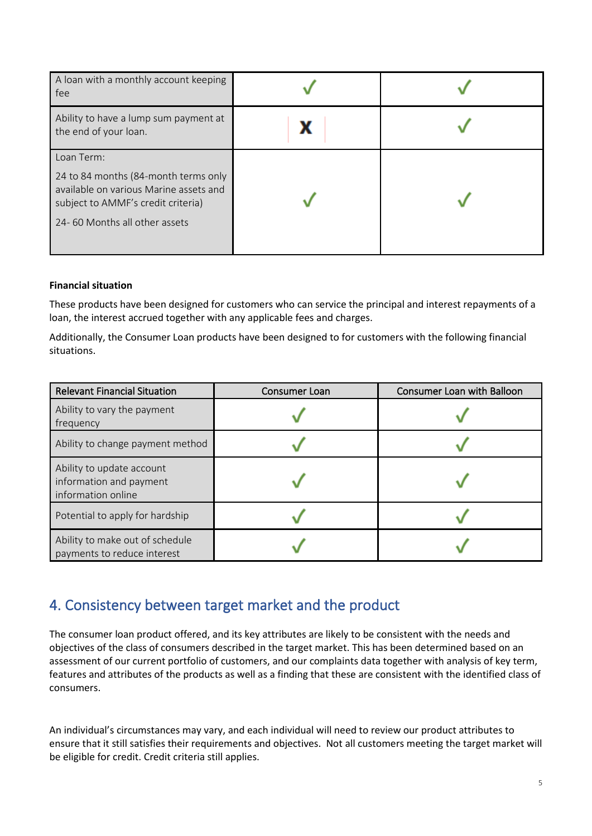| A loan with a monthly account keeping<br>fee                                                                                                                        |  |
|---------------------------------------------------------------------------------------------------------------------------------------------------------------------|--|
| Ability to have a lump sum payment at<br>the end of your loan.                                                                                                      |  |
| Loan Term:<br>24 to 84 months (84-month terms only<br>available on various Marine assets and<br>subject to AMMF's credit criteria)<br>24-60 Months all other assets |  |

#### **Financial situation**

These products have been designed for customers who can service the principal and interest repayments of a loan, the interest accrued together with any applicable fees and charges.

Additionally, the Consumer Loan products have been designed to for customers with the following financial situations.

| <b>Relevant Financial Situation</b>                                        | Consumer Loan | Consumer Loan with Balloon |
|----------------------------------------------------------------------------|---------------|----------------------------|
| Ability to vary the payment<br>frequency                                   |               |                            |
| Ability to change payment method                                           |               |                            |
| Ability to update account<br>information and payment<br>information online |               |                            |
| Potential to apply for hardship                                            |               |                            |
| Ability to make out of schedule<br>payments to reduce interest             |               |                            |

### 4. Consistency between target market and the product

The consumer loan product offered, and its key attributes are likely to be consistent with the needs and objectives of the class of consumers described in the target market. This has been determined based on an assessment of our current portfolio of customers, and our complaints data together with analysis of key term, features and attributes of the products as well as a finding that these are consistent with the identified class of consumers.

An individual's circumstances may vary, and each individual will need to review our product attributes to ensure that it still satisfies their requirements and objectives. Not all customers meeting the target market will be eligible for credit. Credit criteria still applies.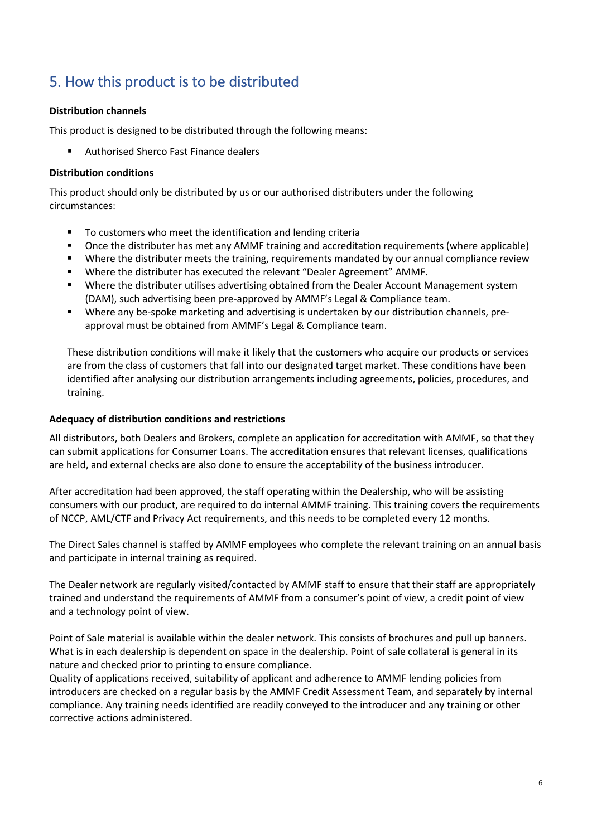## 5. How this product is to be distributed

#### **Distribution channels**

This product is designed to be distributed through the following means:

Authorised Sherco Fast Finance dealers

#### **Distribution conditions**

This product should only be distributed by us or our authorised distributers under the following circumstances:

- **TO customers who meet the identification and lending criteria**
- Once the distributer has met any AMMF training and accreditation requirements (where applicable)
- Where the distributer meets the training, requirements mandated by our annual compliance review
- Where the distributer has executed the relevant "Dealer Agreement" AMMF.
- Where the distributer utilises advertising obtained from the Dealer Account Management system (DAM), such advertising been pre-approved by AMMF's Legal & Compliance team.
- Where any be-spoke marketing and advertising is undertaken by our distribution channels, preapproval must be obtained from AMMF's Legal & Compliance team.

These distribution conditions will make it likely that the customers who acquire our products or services are from the class of customers that fall into our designated target market. These conditions have been identified after analysing our distribution arrangements including agreements, policies, procedures, and training.

#### **Adequacy of distribution conditions and restrictions**

All distributors, both Dealers and Brokers, complete an application for accreditation with AMMF, so that they can submit applications for Consumer Loans. The accreditation ensures that relevant licenses, qualifications are held, and external checks are also done to ensure the acceptability of the business introducer.

After accreditation had been approved, the staff operating within the Dealership, who will be assisting consumers with our product, are required to do internal AMMF training. This training covers the requirements of NCCP, AML/CTF and Privacy Act requirements, and this needs to be completed every 12 months.

The Direct Sales channel is staffed by AMMF employees who complete the relevant training on an annual basis and participate in internal training as required.

The Dealer network are regularly visited/contacted by AMMF staff to ensure that their staff are appropriately trained and understand the requirements of AMMF from a consumer's point of view, a credit point of view and a technology point of view.

Point of Sale material is available within the dealer network. This consists of brochures and pull up banners. What is in each dealership is dependent on space in the dealership. Point of sale collateral is general in its nature and checked prior to printing to ensure compliance.

Quality of applications received, suitability of applicant and adherence to AMMF lending policies from introducers are checked on a regular basis by the AMMF Credit Assessment Team, and separately by internal compliance. Any training needs identified are readily conveyed to the introducer and any training or other corrective actions administered.